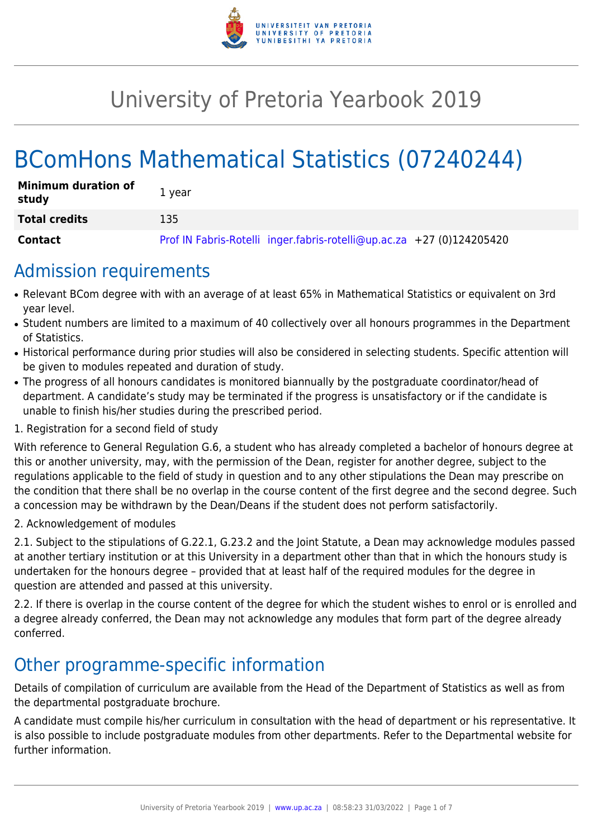

# University of Pretoria Yearbook 2019

# BComHons Mathematical Statistics (07240244)

| <b>Minimum duration of</b><br>study | 1 vear                                                                |
|-------------------------------------|-----------------------------------------------------------------------|
| <b>Total credits</b>                | 135                                                                   |
| <b>Contact</b>                      | Prof IN Fabris-Rotelli inger.fabris-rotelli@up.ac.za +27 (0)124205420 |

## Admission requirements

- Relevant BCom degree with with an average of at least 65% in Mathematical Statistics or equivalent on 3rd year level.
- Student numbers are limited to a maximum of 40 collectively over all honours programmes in the Department of Statistics.
- Historical performance during prior studies will also be considered in selecting students. Specific attention will be given to modules repeated and duration of study.
- The progress of all honours candidates is monitored biannually by the postgraduate coordinator/head of department. A candidate's study may be terminated if the progress is unsatisfactory or if the candidate is unable to finish his/her studies during the prescribed period.
- 1. Registration for a second field of study

With reference to General Regulation G.6, a student who has already completed a bachelor of honours degree at this or another university, may, with the permission of the Dean, register for another degree, subject to the regulations applicable to the field of study in question and to any other stipulations the Dean may prescribe on the condition that there shall be no overlap in the course content of the first degree and the second degree. Such a concession may be withdrawn by the Dean/Deans if the student does not perform satisfactorily.

2. Acknowledgement of modules

2.1. Subject to the stipulations of G.22.1, G.23.2 and the Joint Statute, a Dean may acknowledge modules passed at another tertiary institution or at this University in a department other than that in which the honours study is undertaken for the honours degree – provided that at least half of the required modules for the degree in question are attended and passed at this university.

2.2. If there is overlap in the course content of the degree for which the student wishes to enrol or is enrolled and a degree already conferred, the Dean may not acknowledge any modules that form part of the degree already conferred.

## Other programme-specific information

Details of compilation of curriculum are available from the Head of the Department of Statistics as well as from the departmental postgraduate brochure.

A candidate must compile his/her curriculum in consultation with the head of department or his representative. It is also possible to include postgraduate modules from other departments. Refer to the Departmental website for further information.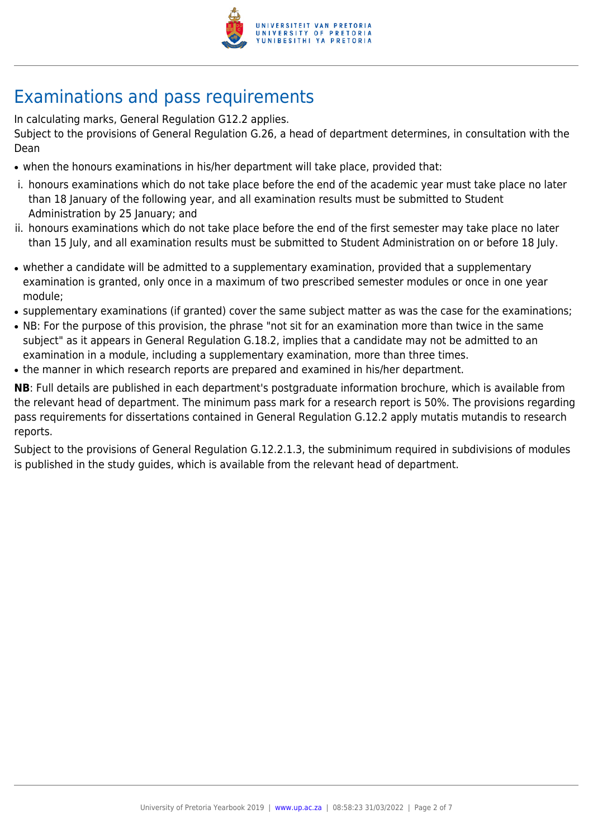

## Examinations and pass requirements

In calculating marks, General Regulation G12.2 applies.

Subject to the provisions of General Regulation G.26, a head of department determines, in consultation with the Dean

- when the honours examinations in his/her department will take place, provided that:
- i. honours examinations which do not take place before the end of the academic year must take place no later than 18 January of the following year, and all examination results must be submitted to Student Administration by 25 January; and
- ii. honours examinations which do not take place before the end of the first semester may take place no later than 15 July, and all examination results must be submitted to Student Administration on or before 18 July.
- whether a candidate will be admitted to a supplementary examination, provided that a supplementary examination is granted, only once in a maximum of two prescribed semester modules or once in one year module;
- supplementary examinations (if granted) cover the same subject matter as was the case for the examinations;
- NB: For the purpose of this provision, the phrase "not sit for an examination more than twice in the same subject" as it appears in General Regulation G.18.2, implies that a candidate may not be admitted to an examination in a module, including a supplementary examination, more than three times.
- the manner in which research reports are prepared and examined in his/her department.

**NB**: Full details are published in each department's postgraduate information brochure, which is available from the relevant head of department. The minimum pass mark for a research report is 50%. The provisions regarding pass requirements for dissertations contained in General Regulation G.12.2 apply mutatis mutandis to research reports.

Subject to the provisions of General Regulation G.12.2.1.3, the subminimum required in subdivisions of modules is published in the study guides, which is available from the relevant head of department.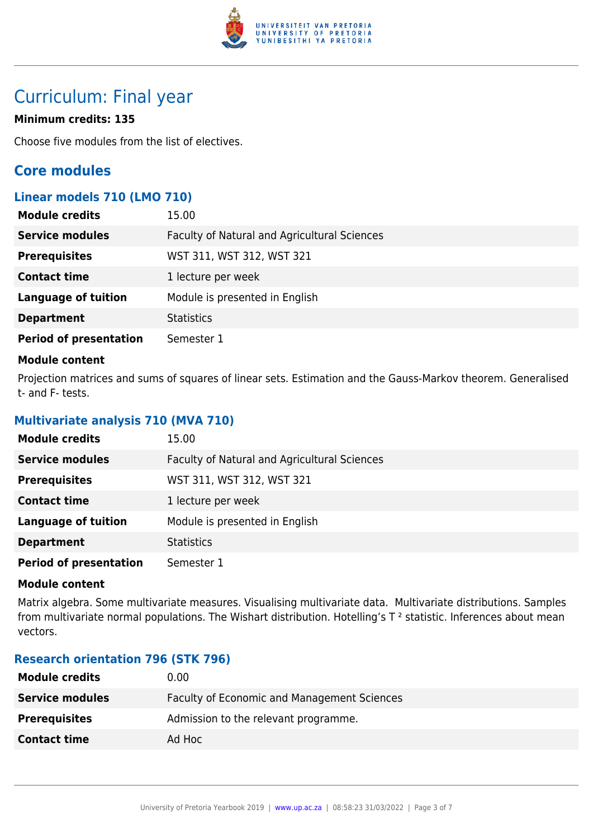

## Curriculum: Final year

## **Minimum credits: 135**

Choose five modules from the list of electives.

## **Core modules**

## **Linear models 710 (LMO 710)**

| <b>Module credits</b>         | 15.00                                        |
|-------------------------------|----------------------------------------------|
| <b>Service modules</b>        | Faculty of Natural and Agricultural Sciences |
| <b>Prerequisites</b>          | WST 311, WST 312, WST 321                    |
| <b>Contact time</b>           | 1 lecture per week                           |
| <b>Language of tuition</b>    | Module is presented in English               |
| <b>Department</b>             | <b>Statistics</b>                            |
| <b>Period of presentation</b> | Semester 1                                   |

## **Module content**

Projection matrices and sums of squares of linear sets. Estimation and the Gauss-Markov theorem. Generalised t- and F- tests.

## **Multivariate analysis 710 (MVA 710)**

| <b>Module credits</b>         | 15.00                                        |
|-------------------------------|----------------------------------------------|
| <b>Service modules</b>        | Faculty of Natural and Agricultural Sciences |
| <b>Prerequisites</b>          | WST 311, WST 312, WST 321                    |
| <b>Contact time</b>           | 1 lecture per week                           |
| <b>Language of tuition</b>    | Module is presented in English               |
| <b>Department</b>             | <b>Statistics</b>                            |
| <b>Period of presentation</b> | Semester 1                                   |

## **Module content**

Matrix algebra. Some multivariate measures. Visualising multivariate data. Multivariate distributions. Samples from multivariate normal populations. The Wishart distribution. Hotelling's  $T^2$  statistic. Inferences about mean vectors.

## **Research orientation 796 (STK 796)**

| <b>Module credits</b>  | 0.00                                        |
|------------------------|---------------------------------------------|
| <b>Service modules</b> | Faculty of Economic and Management Sciences |
| <b>Prerequisites</b>   | Admission to the relevant programme.        |
| <b>Contact time</b>    | Ad Hoc                                      |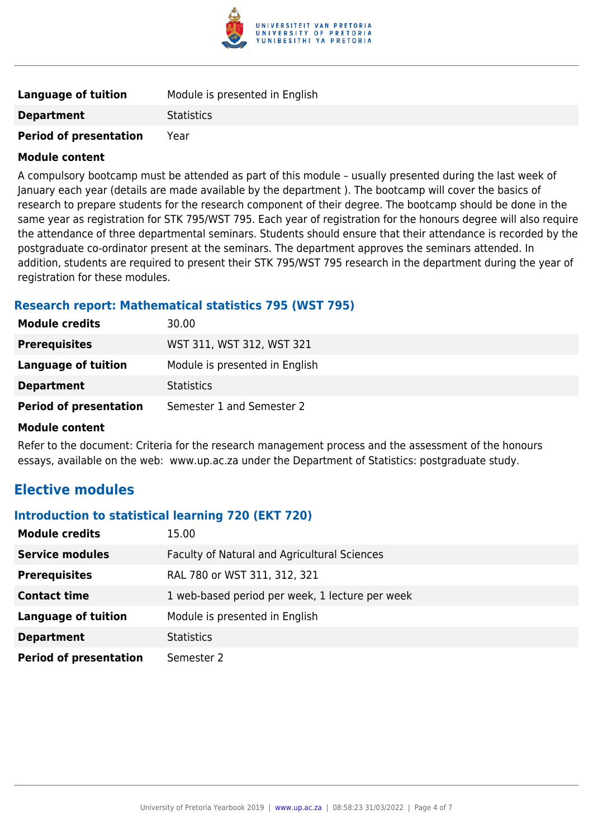

| <b>Language of tuition</b>    | Module is presented in English |
|-------------------------------|--------------------------------|
| <b>Department</b>             | <b>Statistics</b>              |
| <b>Period of presentation</b> | Year                           |

A compulsory bootcamp must be attended as part of this module – usually presented during the last week of January each year (details are made available by the department ). The bootcamp will cover the basics of research to prepare students for the research component of their degree. The bootcamp should be done in the same year as registration for STK 795/WST 795. Each year of registration for the honours degree will also require the attendance of three departmental seminars. Students should ensure that their attendance is recorded by the postgraduate co-ordinator present at the seminars. The department approves the seminars attended. In addition, students are required to present their STK 795/WST 795 research in the department during the year of registration for these modules.

## **Research report: Mathematical statistics 795 (WST 795)**

| 30.00                          |
|--------------------------------|
| WST 311, WST 312, WST 321      |
| Module is presented in English |
| <b>Statistics</b>              |
| Semester 1 and Semester 2      |
|                                |

### **Module content**

Refer to the document: Criteria for the research management process and the assessment of the honours essays, available on the web: www.up.ac.za under the Department of Statistics: postgraduate study.

## **Elective modules**

## **Introduction to statistical learning 720 (EKT 720)**

| <b>Module credits</b>         | 15.00                                           |
|-------------------------------|-------------------------------------------------|
| <b>Service modules</b>        | Faculty of Natural and Agricultural Sciences    |
| <b>Prerequisites</b>          | RAL 780 or WST 311, 312, 321                    |
| <b>Contact time</b>           | 1 web-based period per week, 1 lecture per week |
| <b>Language of tuition</b>    | Module is presented in English                  |
| <b>Department</b>             | <b>Statistics</b>                               |
| <b>Period of presentation</b> | Semester 2                                      |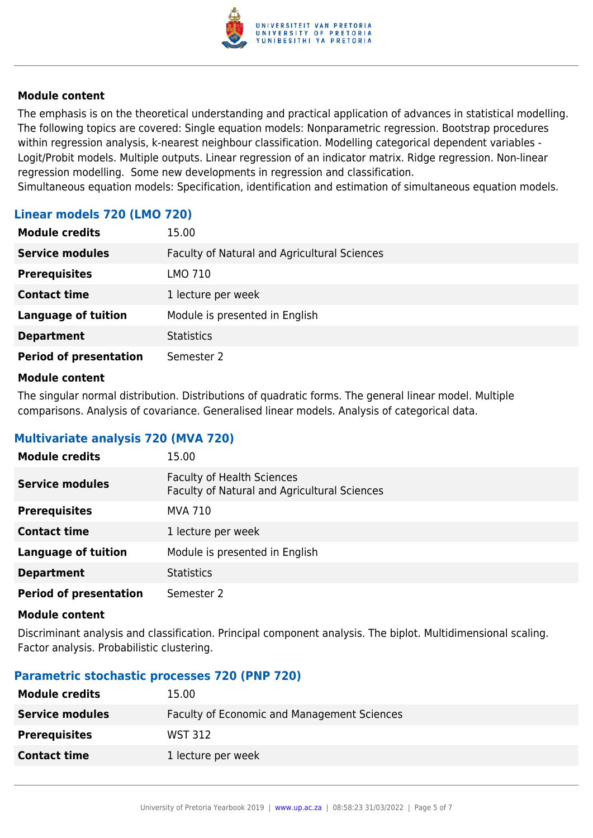

The emphasis is on the theoretical understanding and practical application of advances in statistical modelling. The following topics are covered: Single equation models: Nonparametric regression. Bootstrap procedures within regression analysis, k-nearest neighbour classification. Modelling categorical dependent variables - Logit/Probit models. Multiple outputs. Linear regression of an indicator matrix. Ridge regression. Non-linear regression modelling. Some new developments in regression and classification.

Simultaneous equation models: Specification, identification and estimation of simultaneous equation models.

| Linear models 720 (LMO 720) |  |  |
|-----------------------------|--|--|
|                             |  |  |

| <b>Module credits</b>         | 15.00                                        |
|-------------------------------|----------------------------------------------|
| <b>Service modules</b>        | Faculty of Natural and Agricultural Sciences |
| <b>Prerequisites</b>          | LMO 710                                      |
| <b>Contact time</b>           | 1 lecture per week                           |
| <b>Language of tuition</b>    | Module is presented in English               |
| <b>Department</b>             | <b>Statistics</b>                            |
| <b>Period of presentation</b> | Semester 2                                   |

### **Module content**

The singular normal distribution. Distributions of quadratic forms. The general linear model. Multiple comparisons. Analysis of covariance. Generalised linear models. Analysis of categorical data.

## **Multivariate analysis 720 (MVA 720)**

| <b>Module credits</b>         | 15.00                                                                             |
|-------------------------------|-----------------------------------------------------------------------------------|
| <b>Service modules</b>        | <b>Faculty of Health Sciences</b><br>Faculty of Natural and Agricultural Sciences |
| <b>Prerequisites</b>          | MVA 710                                                                           |
| <b>Contact time</b>           | 1 lecture per week                                                                |
| <b>Language of tuition</b>    | Module is presented in English                                                    |
| <b>Department</b>             | <b>Statistics</b>                                                                 |
| <b>Period of presentation</b> | Semester 2                                                                        |

### **Module content**

Discriminant analysis and classification. Principal component analysis. The biplot. Multidimensional scaling. Factor analysis. Probabilistic clustering.

## **Parametric stochastic processes 720 (PNP 720)**

| <b>Module credits</b>  | 15.00                                       |
|------------------------|---------------------------------------------|
| <b>Service modules</b> | Faculty of Economic and Management Sciences |
| <b>Prerequisites</b>   | <b>WST 312</b>                              |
| <b>Contact time</b>    | 1 lecture per week                          |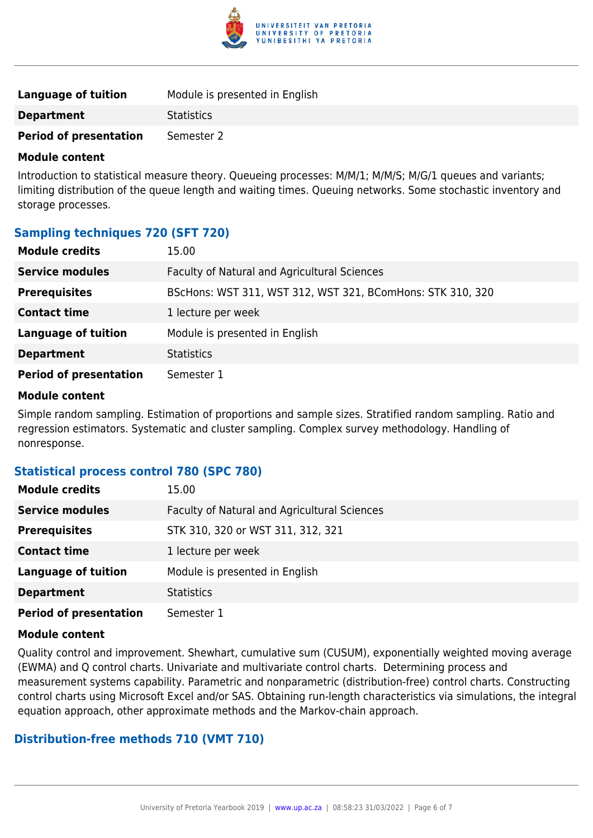

| Language of tuition           | Module is presented in English |
|-------------------------------|--------------------------------|
| <b>Department</b>             | <b>Statistics</b>              |
| <b>Period of presentation</b> | Semester 2                     |

Introduction to statistical measure theory. Queueing processes: M/M/1; M/M/S; M/G/1 queues and variants; limiting distribution of the queue length and waiting times. Queuing networks. Some stochastic inventory and storage processes.

## **Sampling techniques 720 (SFT 720)**

| <b>Module credits</b>         | 15.00                                                      |
|-------------------------------|------------------------------------------------------------|
| <b>Service modules</b>        | Faculty of Natural and Agricultural Sciences               |
| <b>Prerequisites</b>          | BScHons: WST 311, WST 312, WST 321, BComHons: STK 310, 320 |
| <b>Contact time</b>           | 1 lecture per week                                         |
| <b>Language of tuition</b>    | Module is presented in English                             |
| <b>Department</b>             | <b>Statistics</b>                                          |
| <b>Period of presentation</b> | Semester 1                                                 |

## **Module content**

Simple random sampling. Estimation of proportions and sample sizes. Stratified random sampling. Ratio and regression estimators. Systematic and cluster sampling. Complex survey methodology. Handling of nonresponse.

## **Statistical process control 780 (SPC 780)**

| <b>Module credits</b>         | 15.00                                        |
|-------------------------------|----------------------------------------------|
| <b>Service modules</b>        | Faculty of Natural and Agricultural Sciences |
| <b>Prerequisites</b>          | STK 310, 320 or WST 311, 312, 321            |
| <b>Contact time</b>           | 1 lecture per week                           |
| <b>Language of tuition</b>    | Module is presented in English               |
| <b>Department</b>             | <b>Statistics</b>                            |
| <b>Period of presentation</b> | Semester 1                                   |

## **Module content**

Quality control and improvement. Shewhart, cumulative sum (CUSUM), exponentially weighted moving average (EWMA) and Q control charts. Univariate and multivariate control charts. Determining process and measurement systems capability. Parametric and nonparametric (distribution-free) control charts. Constructing control charts using Microsoft Excel and/or SAS. Obtaining run-length characteristics via simulations, the integral equation approach, other approximate methods and the Markov-chain approach.

## **Distribution-free methods 710 (VMT 710)**